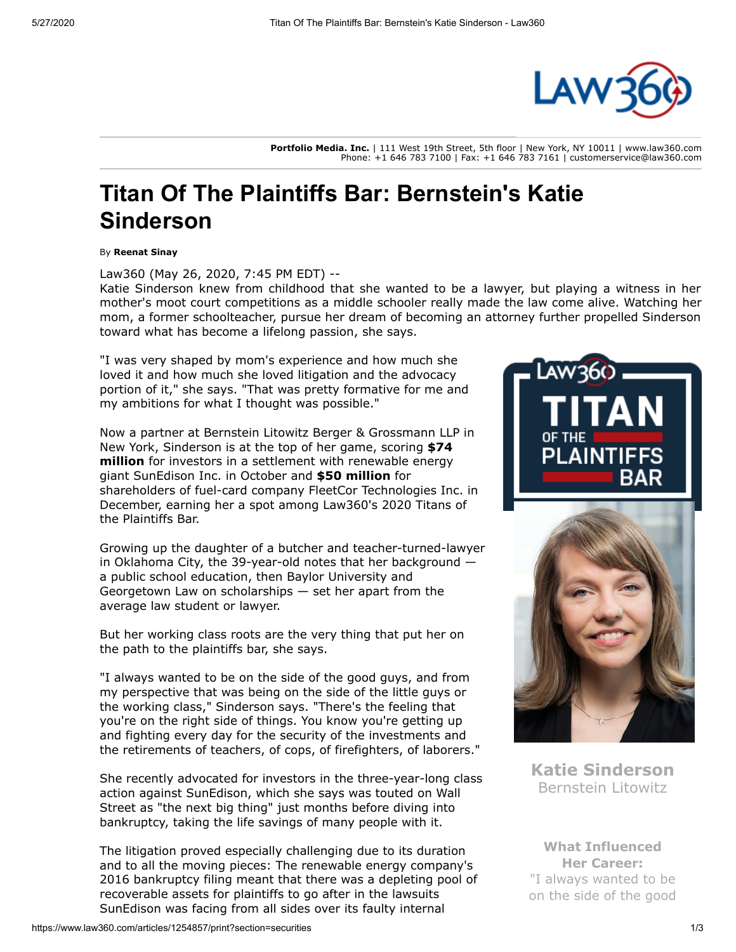

**Portfolio Media. Inc.** | 111 West 19th Street, 5th floor | New York, NY 10011 | www.law360.com Phone: +1 646 783 7100 | Fax: +1 646 783 7161 | customerservice@law360.com

## **Titan Of The Plaintiffs Bar: Bernstein's Katie Sinderson**

By **Reenat Sinay**

Law360 (May 26, 2020, 7:45 PM EDT) --

Katie Sinderson knew from childhood that she wanted to be a lawyer, but playing a witness in her mother's moot court competitions as a middle schooler really made the law come alive. Watching her mom, a former schoolteacher, pursue her dream of becoming an attorney further propelled Sinderson toward what has become a lifelong passion, she says.

"I was very shaped by mom's experience and how much she loved it and how much she loved litigation and the advocacy portion of it," she says. "That was pretty formative for me and my ambitions for what I thought was possible."

Now a partner at [Bernstein Litowitz Berger & Grossmann LLP](https://www.law360.com/firms/bernstein-litowitz) in [New York, Sinderson is at the top of her game, scoring](https://www.law360.com/articles/1213803/-74m-sunedison-investor-settlement-gets-judge-s-approval) **\$74 million** for investors in a settlement with renewable energy giant [SunEdison Inc.](https://www.law360.com/companies/sunedison-llc) in October and **[\\$50 million](https://www.law360.com/articles/1228153/fuel-card-co-fleetcor-settles-stock-drop-suit-for-50m)** for shareholders of fuel-card company [FleetCor Technologies Inc](https://www.law360.com/companies/fleetcor-technologies-inc). in December, earning her a spot among Law360's 2020 Titans of the Plaintiffs Bar.

Growing up the daughter of a butcher and teacher-turned-lawyer in Oklahoma City, the 39-year-old notes that her background a public school education, then [Baylor University](https://www.law360.com/companies/baylor-university) and Georgetown Law on scholarships — set her apart from the average law student or lawyer.

But her working class roots are the very thing that put her on the path to the plaintiffs bar, she says.

"I always wanted to be on the side of the good guys, and from my perspective that was being on the side of the little guys or the working class," Sinderson says. "There's the feeling that you're on the right side of things. You know you're getting up and fighting every day for the security of the investments and the retirements of teachers, of cops, of firefighters, of laborers."

She recently advocated for investors in the three-year-long class action against SunEdison, which she says was touted on Wall Street as "the next big thing" just months before diving into bankruptcy, taking the life savings of many people with it.

The litigation proved especially challenging due to its duration and to all the moving pieces: The renewable energy company's 2016 bankruptcy filing meant that there was a depleting pool of recoverable assets for plaintiffs to go after in the lawsuits SunEdison was facing from all sides over its faulty internal





**Katie Sinderson** Bernstein Litowitz

**What Influenced Her Career:** "I always wanted to be on the side of the good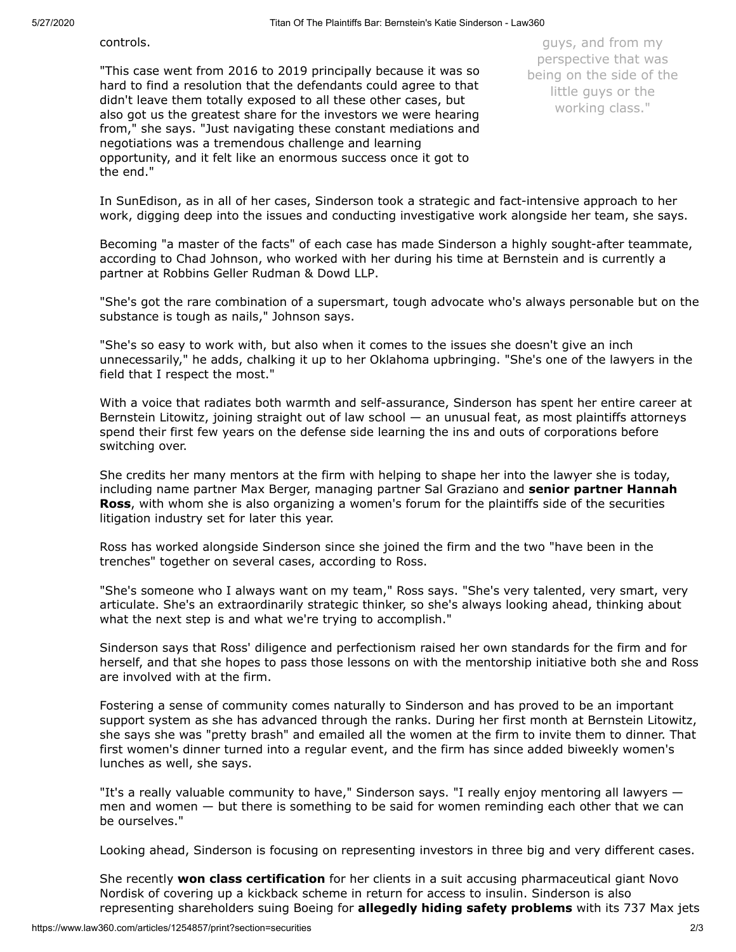controls.

"This case went from 2016 to 2019 principally because it was so hard to find a resolution that the defendants could agree to that didn't leave them totally exposed to all these other cases, but also got us the greatest share for the investors we were hearing from," she says. "Just navigating these constant mediations and negotiations was a tremendous challenge and learning opportunity, and it felt like an enormous success once it got to the end."

guys, and from my perspective that was being on the side of the little guys or the working class."

In SunEdison, as in all of her cases, Sinderson took a strategic and fact-intensive approach to her work, digging deep into the issues and conducting investigative work alongside her team, she says.

Becoming "a master of the facts" of each case has made Sinderson a highly sought-after teammate, according to Chad Johnson, who worked with her during his time at Bernstein and is currently a partner at [Robbins Geller Rudman & Dowd LLP.](https://www.law360.com/firms/robbins-geller)

"She's got the rare combination of a supersmart, tough advocate who's always personable but on the substance is tough as nails," Johnson says.

"She's so easy to work with, but also when it comes to the issues she doesn't give an inch unnecessarily," he adds, chalking it up to her Oklahoma upbringing. "She's one of the lawyers in the field that I respect the most."

With a voice that radiates both warmth and self-assurance, Sinderson has spent her entire career at Bernstein Litowitz, joining straight out of law school — an unusual feat, as most plaintiffs attorneys spend their first few years on the defense side learning the ins and outs of corporations before switching over.

She credits her many mentors at the firm with helping to shape her into the lawyer she is today, including name partner Max Berger, managing partner Sal Graziano and **senior partner Hannah Ross**[, with whom she is also organizing a women's forum for the plaintiffs side of the securities](https://www.law360.com/articles/1150621/titan-of-the-plaintiffs-bar-bernstein-litowitz-s-hannah-ross) litigation industry set for later this year.

Ross has worked alongside Sinderson since she joined the firm and the two "have been in the trenches" together on several cases, according to Ross.

"She's someone who I always want on my team," Ross says. "She's very talented, very smart, very articulate. She's an extraordinarily strategic thinker, so she's always looking ahead, thinking about what the next step is and what we're trying to accomplish."

Sinderson says that Ross' diligence and perfectionism raised her own standards for the firm and for herself, and that she hopes to pass those lessons on with the mentorship initiative both she and Ross are involved with at the firm.

Fostering a sense of community comes naturally to Sinderson and has proved to be an important support system as she has advanced through the ranks. During her first month at Bernstein Litowitz, she says she was "pretty brash" and emailed all the women at the firm to invite them to dinner. That first women's dinner turned into a regular event, and the firm has since added biweekly women's lunches as well, she says.

"It's a really valuable community to have," Sinderson says. "I really enjoy mentoring all lawyers men and women — but there is something to be said for women reminding each other that we can be ourselves."

Looking ahead, Sinderson is focusing on representing investors in three big and very different cases.

She recently **[won class certification](https://www.law360.com/articles/1239590/novo-nordisk-investors-win-cert-in-insulin-kickback-suit)** for her clients in a suit accusing pharmaceutical giant Novo [Nordisk of covering up a kickback scheme in return for access to insulin. Sinderson is also](https://www.law360.com/companies/novo-nordisk-a-s) representing shareholders suing [Boeing](https://www.law360.com/companies/the-boeing-co) for **[allegedly hiding safety problems](https://www.law360.com/articles/1220575)** with its 737 Max jets